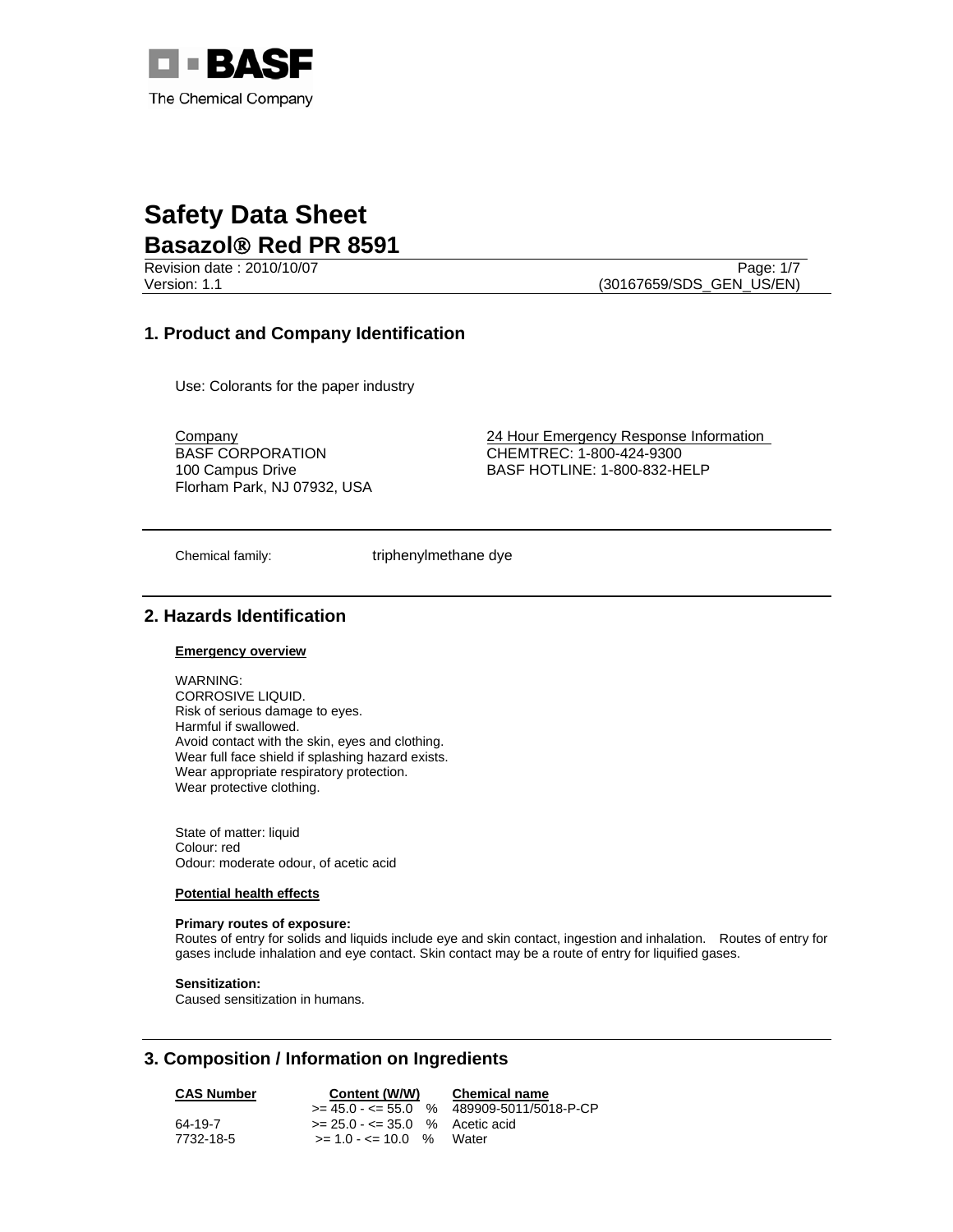

Version: 1.1 (30167659/SDS\_GEN\_US/EN)

Revision date : 2010/10/07 Page: 1/7

# **1. Product and Company Identification**

Use: Colorants for the paper industry

BASF CORPORATION 100 Campus Drive Florham Park, NJ 07932, USA

**Company 24 Hour Emergency Response Information** CHEMTREC: 1-800-424-9300 BASF HOTLINE: 1-800-832-HELP

Chemical family: triphenylmethane dye

# **2. Hazards Identification**

### **Emergency overview**

WARNING: CORROSIVE LIQUID. Risk of serious damage to eyes. Harmful if swallowed. Avoid contact with the skin, eyes and clothing. Wear full face shield if splashing hazard exists. Wear appropriate respiratory protection. Wear protective clothing.

State of matter: liquid Colour: red Odour: moderate odour, of acetic acid

#### **Potential health effects**

#### **Primary routes of exposure:**

Routes of entry for solids and liquids include eye and skin contact, ingestion and inhalation. Routes of entry for gases include inhalation and eye contact. Skin contact may be a route of entry for liquified gases.

**Sensitization:**

Caused sensitization in humans.

# **3. Composition / Information on Ingredients**

| <b>CAS Number</b> | Content (W/W)                      | <b>Chemical name</b>                     |  |
|-------------------|------------------------------------|------------------------------------------|--|
|                   |                                    | $>= 45.0 - 55.0$ % 489909-5011/5018-P-CP |  |
| 64-19-7           | $>= 25.0 - \le 35.0$ % Acetic acid |                                          |  |
| 7732-18-5         | $>= 1.0 - 1.0 = 10.0$ % Water      |                                          |  |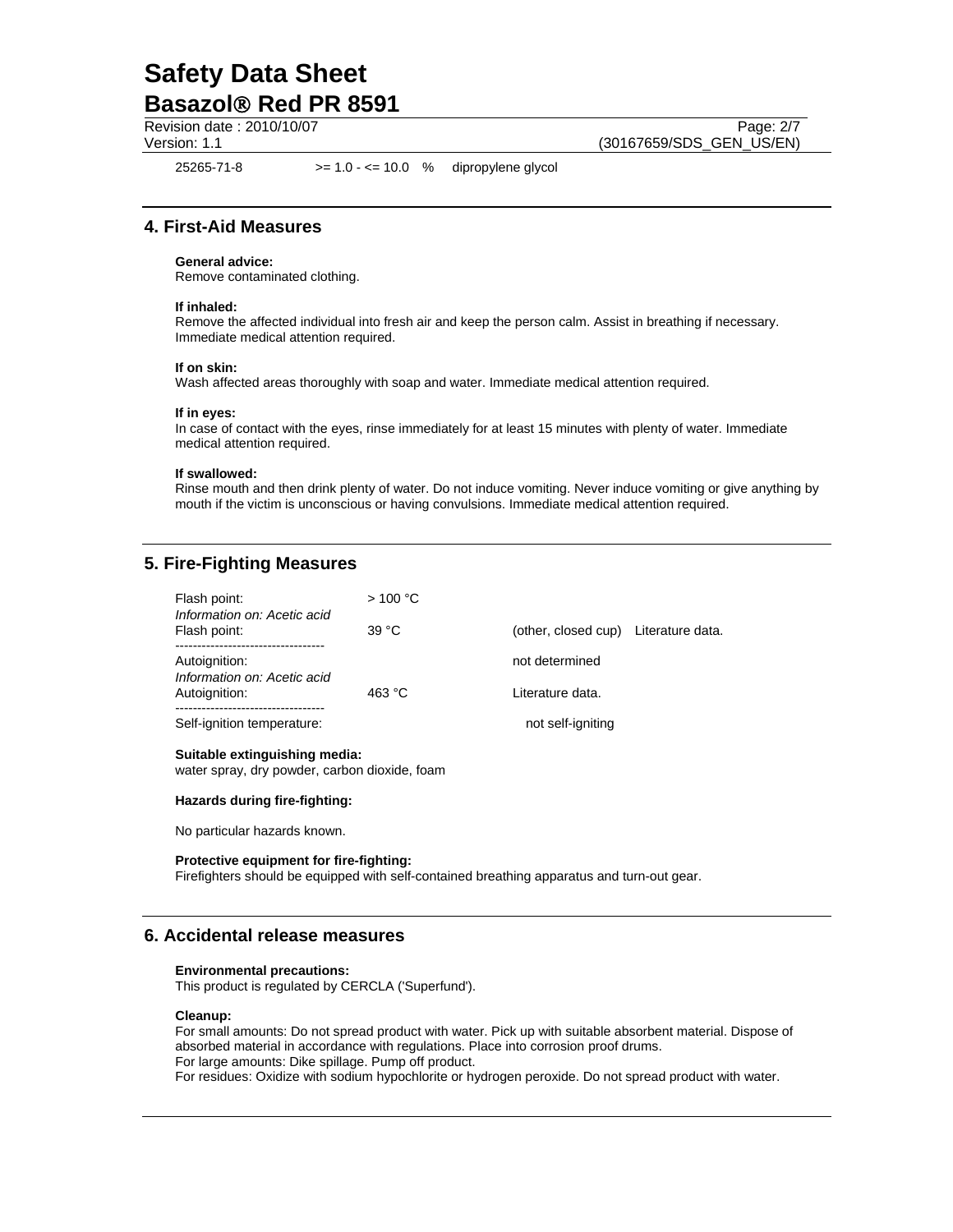Revision date : 2010/10/07 Page: 2/7

Version: 1.1 (30167659/SDS\_GEN\_US/EN)

25265-71-8 >= 1.0 - <= 10.0 % dipropylene glycol

## **4. First-Aid Measures**

#### **General advice:**

Remove contaminated clothing.

#### **If inhaled:**

Remove the affected individual into fresh air and keep the person calm. Assist in breathing if necessary. Immediate medical attention required.

#### **If on skin:**

Wash affected areas thoroughly with soap and water. Immediate medical attention required.

#### **If in eyes:**

In case of contact with the eyes, rinse immediately for at least 15 minutes with plenty of water. Immediate medical attention required.

#### **If swallowed:**

Rinse mouth and then drink plenty of water. Do not induce vomiting. Never induce vomiting or give anything by mouth if the victim is unconscious or having convulsions. Immediate medical attention required.

## **5. Fire-Fighting Measures**

| Flash point:<br>Information on: Acetic acid<br>Flash point:<br>Autoignition: | >100 °C  |                                      |  |
|------------------------------------------------------------------------------|----------|--------------------------------------|--|
|                                                                              | 39 °C    | (other, closed cup) Literature data. |  |
|                                                                              |          | not determined                       |  |
| Information on: Acetic acid<br>Autoignition:                                 | 463 $°C$ | Literature data.                     |  |
| Self-ignition temperature:                                                   |          | not self-igniting                    |  |
| Suitable extinguishing media:                                                |          |                                      |  |

## water spray, dry powder, carbon dioxide, foam

#### **Hazards during fire-fighting:**

No particular hazards known.

#### **Protective equipment for fire-fighting:**

Firefighters should be equipped with self-contained breathing apparatus and turn-out gear.

## **6. Accidental release measures**

#### **Environmental precautions:**

This product is regulated by CERCLA ('Superfund').

#### **Cleanup:**

For small amounts: Do not spread product with water. Pick up with suitable absorbent material. Dispose of absorbed material in accordance with regulations. Place into corrosion proof drums. For large amounts: Dike spillage. Pump off product. For residues: Oxidize with sodium hypochlorite or hydrogen peroxide. Do not spread product with water.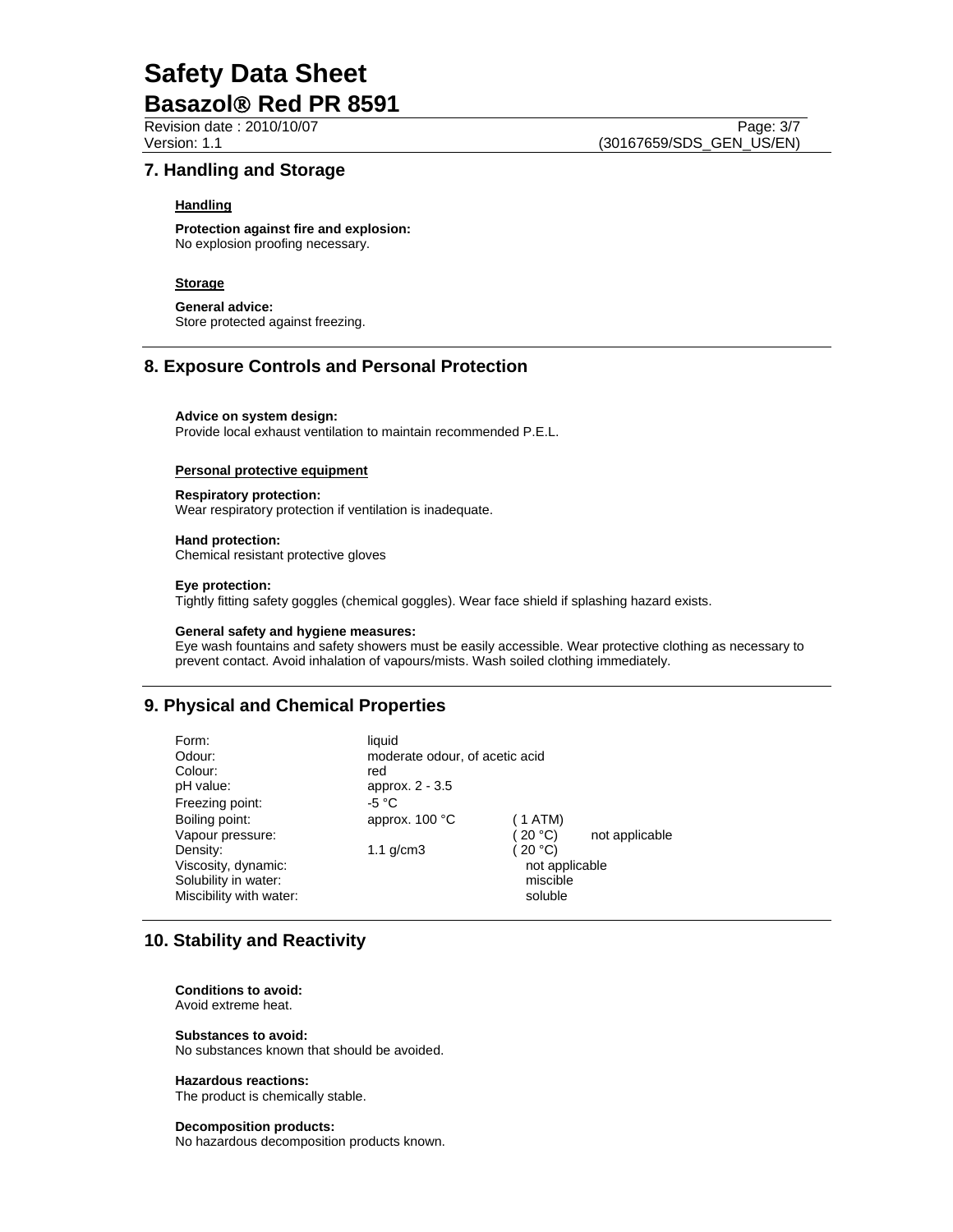Revision date : 2010/10/07 Page: 3/7

Version: 1.1 (30167659/SDS\_GEN\_US/EN)

## **7. Handling and Storage**

### **Handling**

**Protection against fire and explosion:** No explosion proofing necessary.

### **Storage**

**General advice:** Store protected against freezing.

### **8. Exposure Controls and Personal Protection**

#### **Advice on system design:**

Provide local exhaust ventilation to maintain recommended P.E.L.

#### **Personal protective equipment**

#### **Respiratory protection:**

Wear respiratory protection if ventilation is inadequate.

#### **Hand protection:**

Chemical resistant protective gloves

#### **Eye protection:**

Tightly fitting safety goggles (chemical goggles). Wear face shield if splashing hazard exists.

#### **General safety and hygiene measures:**

Eye wash fountains and safety showers must be easily accessible. Wear protective clothing as necessary to prevent contact. Avoid inhalation of vapours/mists. Wash soiled clothing immediately.

## **9. Physical and Chemical Properties**

Form: liquid<br>Odour: liquid mode moderate odour, of acetic acid Colour: red pH value: approx. 2 - 3.5 Freezing point: 45 °C Boiling point: approx. 100 °C (1 ATM) Vapour pressure:  $(20 °C)$  not applicable Density:  $1.1 \text{ g/cm}$  ( 20 °C) Viscosity, dynamic:  $\blacksquare$ Solubility in water: miscible miscible Miscibility with water: soluble

## **10. Stability and Reactivity**

**Conditions to avoid:** Avoid extreme heat.

**Substances to avoid:** No substances known that should be avoided.

#### **Hazardous reactions:**

The product is chemically stable.

# **Decomposition products:**

No hazardous decomposition products known.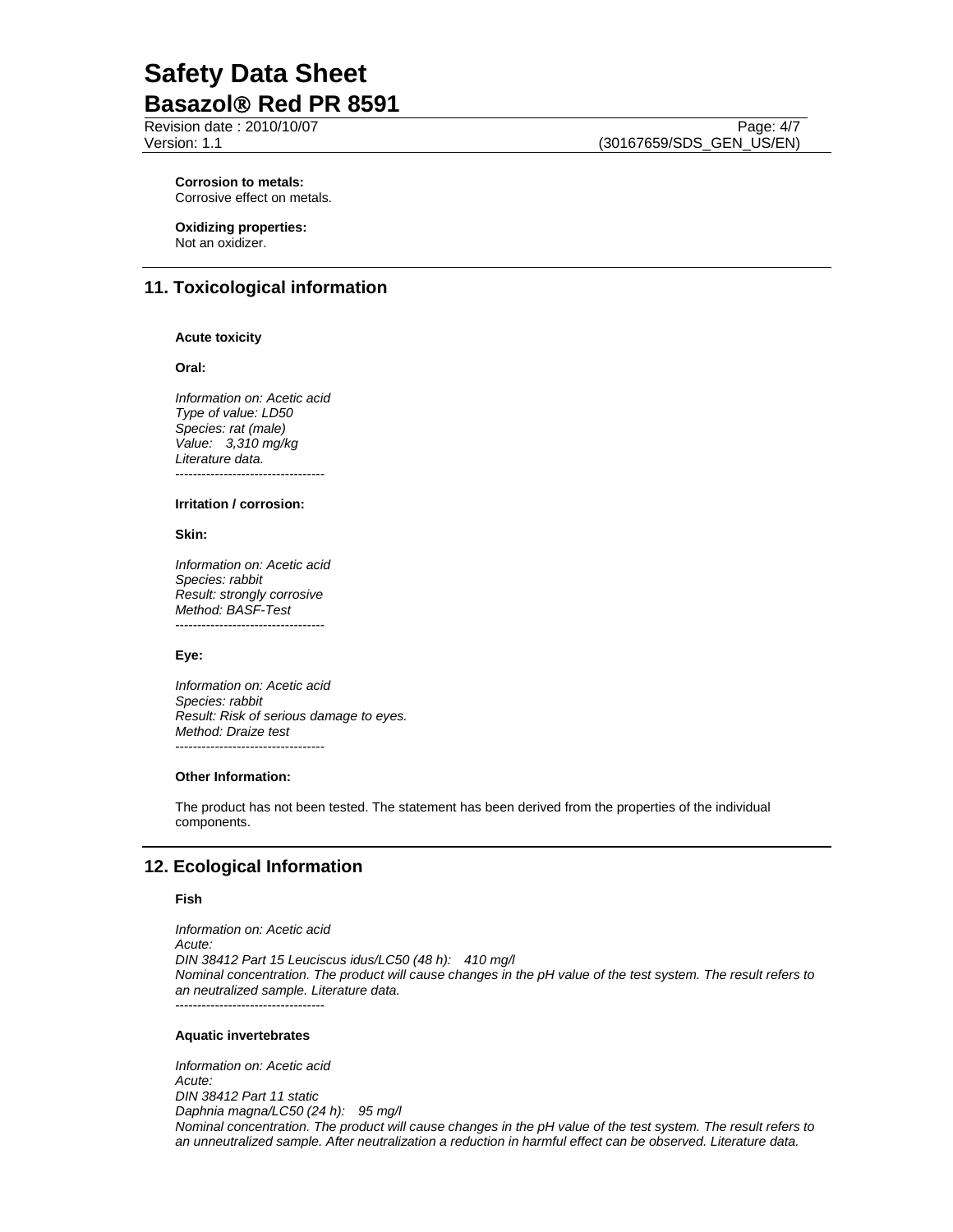Revision date : 2010/10/07 Page: 4/7

Version: 1.1 (30167659/SDS\_GEN\_US/EN)

**Corrosion to metals:**  Corrosive effect on metals.

**Oxidizing properties:**  Not an oxidizer.

# **11. Toxicological information**

#### **Acute toxicity**

**Oral:**

*Information on: Acetic acid Type of value: LD50 Species: rat (male) Value: 3,310 mg/kg Literature data.*  ----------------------------------

#### **Irritation / corrosion:**

**Skin:** 

*Information on: Acetic acid Species: rabbit Result: strongly corrosive Method: BASF-Test*  ----------------------------------

#### **Eye:**

*Information on: Acetic acid Species: rabbit Result: Risk of serious damage to eyes. Method: Draize test*  ----------------------------------

#### **Other Information:**

The product has not been tested. The statement has been derived from the properties of the individual components.

# **12. Ecological Information**

#### **Fish**

*Information on: Acetic acid Acute: DIN 38412 Part 15 Leuciscus idus/LC50 (48 h): 410 mg/l Nominal concentration. The product will cause changes in the pH value of the test system. The result refers to an neutralized sample. Literature data.*  ----------------------------------

#### **Aquatic invertebrates**

*Information on: Acetic acid Acute: DIN 38412 Part 11 static Daphnia magna/LC50 (24 h): 95 mg/l Nominal concentration. The product will cause changes in the pH value of the test system. The result refers to an unneutralized sample. After neutralization a reduction in harmful effect can be observed. Literature data.*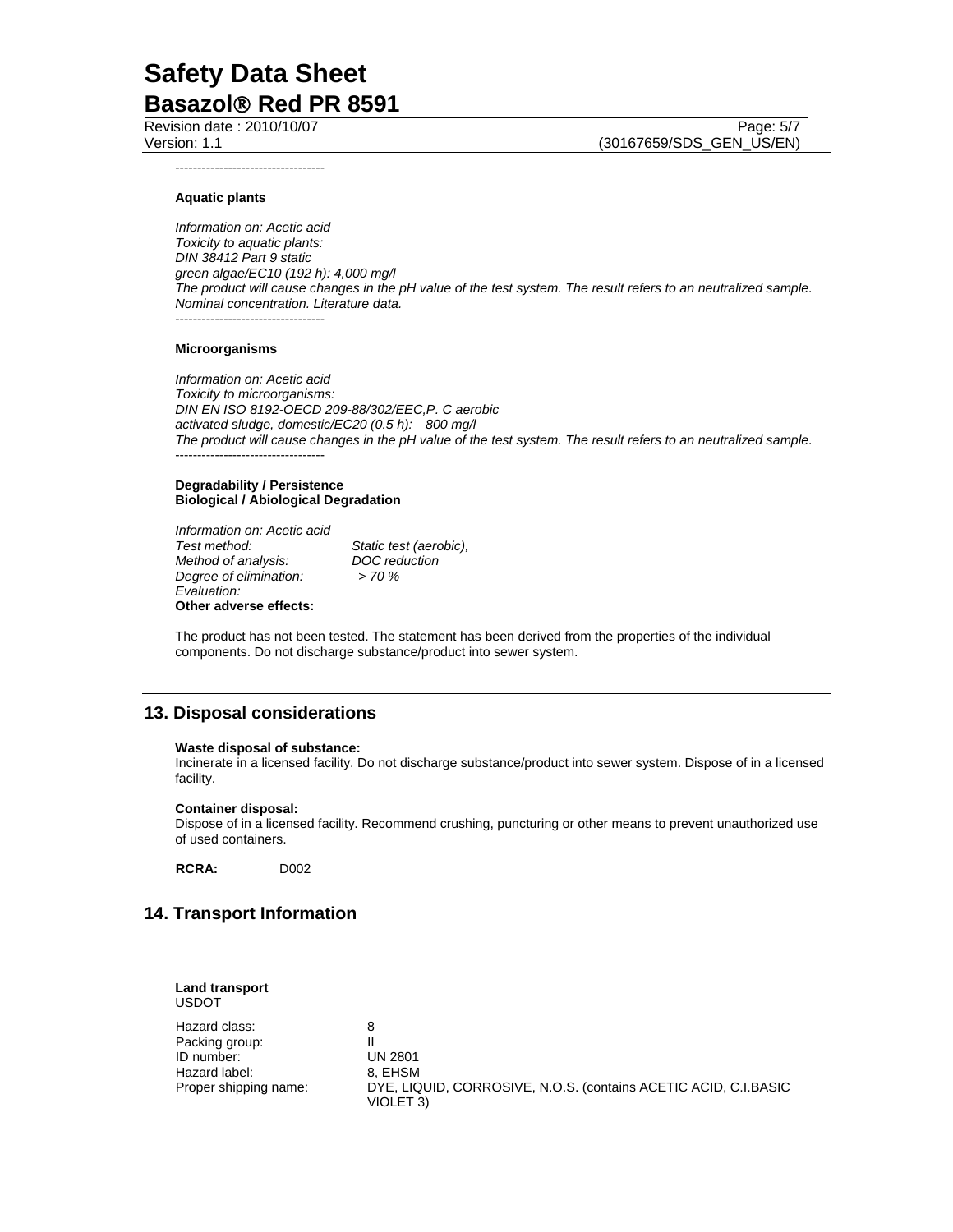Revision date : 2010/10/07 Page: 5/7

Version: 1.1 (30167659/SDS\_GEN\_US/EN)

----------------------------------

### **Aquatic plants**

*Information on: Acetic acid Toxicity to aquatic plants: DIN 38412 Part 9 static green algae/EC10 (192 h): 4,000 mg/l The product will cause changes in the pH value of the test system. The result refers to an neutralized sample. Nominal concentration. Literature data.*  ----------------------------------

#### **Microorganisms**

*Information on: Acetic acid Toxicity to microorganisms: DIN EN ISO 8192-OECD 209-88/302/EEC,P. C aerobic activated sludge, domestic/EC20 (0.5 h): 800 mg/l The product will cause changes in the pH value of the test system. The result refers to an neutralized sample.*  ----------------------------------

#### **Degradability / Persistence Biological / Abiological Degradation**

*Information on: Acetic acid Method of analysis: DOC reduction Degree of elimination: Evaluation:*  **Other adverse effects:** 

*Static test (aerobic),* 

The product has not been tested. The statement has been derived from the properties of the individual components. Do not discharge substance/product into sewer system.

## **13. Disposal considerations**

#### **Waste disposal of substance:**

Incinerate in a licensed facility. Do not discharge substance/product into sewer system. Dispose of in a licensed facility.

#### **Container disposal:**

Dispose of in a licensed facility. Recommend crushing, puncturing or other means to prevent unauthorized use of used containers.

**RCRA:** D002

## **14. Transport Information**

| <b>Land transport</b><br><b>USDOT</b> |                                                                 |
|---------------------------------------|-----------------------------------------------------------------|
| Hazard class:                         | 8                                                               |
| Packing group:                        | <b>UN 2801</b>                                                  |
| ID number:                            | 8. EHSM                                                         |
| Hazard label:                         | DYE, LIQUID, CORROSIVE, N.O.S. (contains ACETIC ACID, C.I.BASIC |
| Proper shipping name:                 | VIOLET 3)                                                       |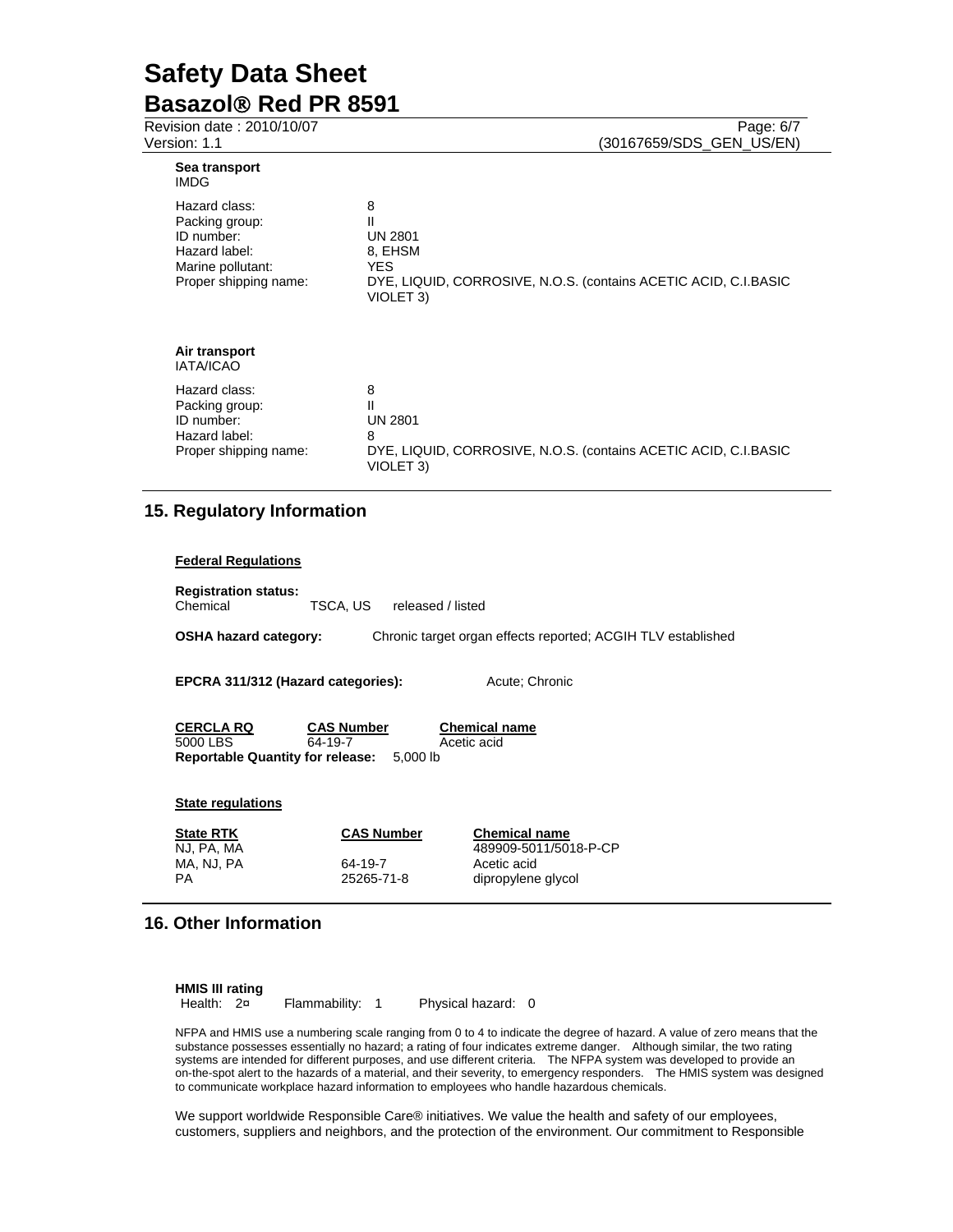| Revision date: 2010/10/07<br>Version: 1.1                                                                    | Page: 6/7<br>(30167659/SDS_GEN_US/EN)                                                                                                         |
|--------------------------------------------------------------------------------------------------------------|-----------------------------------------------------------------------------------------------------------------------------------------------|
| Sea transport<br><b>IMDG</b>                                                                                 |                                                                                                                                               |
| Hazard class:<br>Packing group:<br>ID number:<br>Hazard label:<br>Marine pollutant:<br>Proper shipping name: | 8<br>Ш<br><b>UN 2801</b><br>8, EHSM<br><b>YES</b><br>DYE, LIQUID, CORROSIVE, N.O.S. (contains ACETIC ACID, C.I.BASIC<br>VIOLET <sub>3</sub> ) |
| Air transport<br><b>IATA/ICAO</b>                                                                            |                                                                                                                                               |
| Hazard class:<br>Packing group:<br>ID number:<br>Hazard label:<br>Proper shipping name:                      | 8<br>Ш<br><b>UN 2801</b><br>8<br>DYE, LIQUID, CORROSIVE, N.O.S. (contains ACETIC ACID, C.I.BASIC<br>VIOLET <sub>3</sub> )                     |

# **15. Regulatory Information**

| <b>Federal Regulations</b>                           |                                           |                                                              |  |  |
|------------------------------------------------------|-------------------------------------------|--------------------------------------------------------------|--|--|
| <b>Registration status:</b><br>Chemical              | TSCA. US<br>released / listed             |                                                              |  |  |
| <b>OSHA hazard category:</b>                         |                                           | Chronic target organ effects reported; ACGIH TLV established |  |  |
|                                                      |                                           |                                                              |  |  |
| EPCRA 311/312 (Hazard categories):<br>Acute: Chronic |                                           |                                                              |  |  |
|                                                      |                                           |                                                              |  |  |
| <b>CERCLA RQ</b>                                     | <b>Chemical name</b><br><b>CAS Number</b> |                                                              |  |  |
| 5000 LBS<br>64-19-7                                  |                                           | Acetic acid                                                  |  |  |
| <b>Reportable Quantity for release:</b> 5,000 lb     |                                           |                                                              |  |  |
|                                                      |                                           |                                                              |  |  |
| <b>State regulations</b>                             |                                           |                                                              |  |  |
| <b>State RTK</b>                                     | <b>CAS Number</b>                         | <b>Chemical name</b>                                         |  |  |
| NJ, PA, MA                                           |                                           | 489909-5011/5018-P-CP                                        |  |  |
| MA, NJ, PA<br><b>PA</b>                              | 64-19-7<br>25265-71-8                     | Acetic acid<br>dipropylene glycol                            |  |  |
|                                                      |                                           |                                                              |  |  |

# **16. Other Information**

| <b>HMIS III rating</b> |               |                    |  |
|------------------------|---------------|--------------------|--|
| Health: 2¤             | Flammability: | Physical hazard: 0 |  |

NFPA and HMIS use a numbering scale ranging from 0 to 4 to indicate the degree of hazard. A value of zero means that the substance possesses essentially no hazard; a rating of four indicates extreme danger. Although similar, the two rating systems are intended for different purposes, and use different criteria. The NFPA system was developed to provide an on-the-spot alert to the hazards of a material, and their severity, to emergency responders. The HMIS system was designed to communicate workplace hazard information to employees who handle hazardous chemicals.

We support worldwide Responsible Care® initiatives. We value the health and safety of our employees, customers, suppliers and neighbors, and the protection of the environment. Our commitment to Responsible